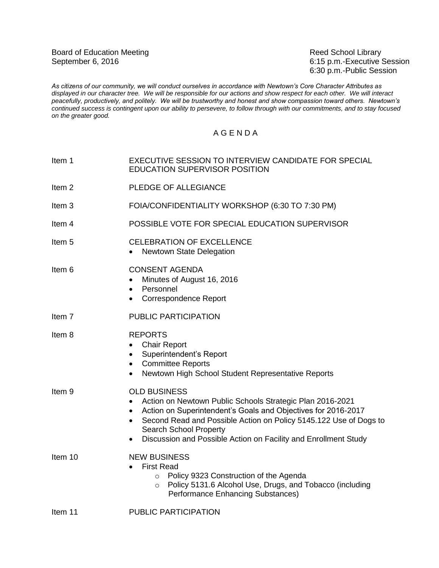6:15 p.m.-Executive Session 6:30 p.m.-Public Session

*As citizens of our community, we will conduct ourselves in accordance with Newtown's Core Character Attributes as displayed in our character tree. We will be responsible for our actions and show respect for each other. We will interact peacefully, productively, and politely. We will be trustworthy and honest and show compassion toward others. Newtown's continued success is contingent upon our ability to persevere, to follow through with our commitments, and to stay focused on the greater good.*

## A G E N D A

| Item 1            | EXECUTIVE SESSION TO INTERVIEW CANDIDATE FOR SPECIAL<br><b>EDUCATION SUPERVISOR POSITION</b>                                                                                                                                                                                                                                                                            |
|-------------------|-------------------------------------------------------------------------------------------------------------------------------------------------------------------------------------------------------------------------------------------------------------------------------------------------------------------------------------------------------------------------|
| Item <sub>2</sub> | PLEDGE OF ALLEGIANCE                                                                                                                                                                                                                                                                                                                                                    |
| Item <sub>3</sub> | FOIA/CONFIDENTIALITY WORKSHOP (6:30 TO 7:30 PM)                                                                                                                                                                                                                                                                                                                         |
| Item 4            | POSSIBLE VOTE FOR SPECIAL EDUCATION SUPERVISOR                                                                                                                                                                                                                                                                                                                          |
| Item 5            | <b>CELEBRATION OF EXCELLENCE</b><br><b>Newtown State Delegation</b><br>$\bullet$                                                                                                                                                                                                                                                                                        |
| ltem 6            | <b>CONSENT AGENDA</b><br>Minutes of August 16, 2016<br>$\bullet$<br>Personnel<br>$\bullet$<br>Correspondence Report<br>$\bullet$                                                                                                                                                                                                                                        |
| Item 7            | PUBLIC PARTICIPATION                                                                                                                                                                                                                                                                                                                                                    |
| Item 8            | <b>REPORTS</b><br><b>Chair Report</b><br>$\bullet$<br>Superintendent's Report<br>$\bullet$<br>• Committee Reports<br>Newtown High School Student Representative Reports<br>$\bullet$                                                                                                                                                                                    |
| Item <sub>9</sub> | <b>OLD BUSINESS</b><br>Action on Newtown Public Schools Strategic Plan 2016-2021<br>$\bullet$<br>Action on Superintendent's Goals and Objectives for 2016-2017<br>$\bullet$<br>Second Read and Possible Action on Policy 5145.122 Use of Dogs to<br>$\bullet$<br>Search School Property<br>Discussion and Possible Action on Facility and Enrollment Study<br>$\bullet$ |
| Item 10           | <b>NEW BUSINESS</b><br><b>First Read</b><br>Policy 9323 Construction of the Agenda<br>$\circ$<br>Policy 5131.6 Alcohol Use, Drugs, and Tobacco (including<br>$\circ$<br>Performance Enhancing Substances)                                                                                                                                                               |
| Item 11           | PUBLIC PARTICIPATION                                                                                                                                                                                                                                                                                                                                                    |